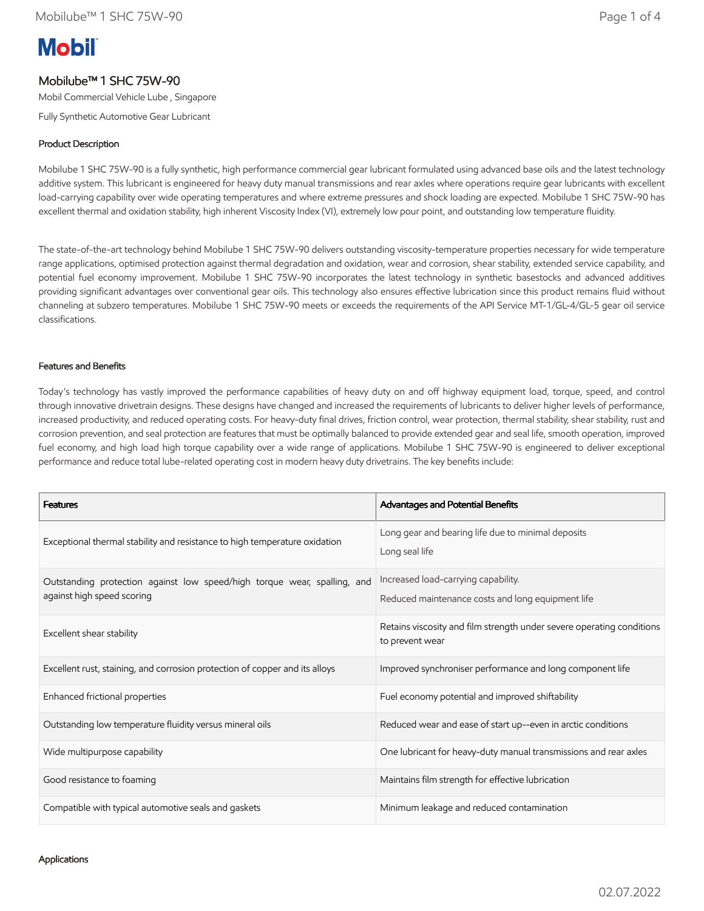# **Mobil**

## Mobilube™ 1 SHC 75W-90

Mobil Commercial Vehicle Lube , Singapore

Fully Synthetic Automotive Gear Lubricant

## Product Description

Mobilube 1 SHC 75W-90 is a fully synthetic, high performance commercial gear lubricant formulated using advanced base oils and the latest technology additive system. This lubricant is engineered for heavy duty manual transmissions and rear axles where operations require gear lubricants with excellent load-carrying capability over wide operating temperatures and where extreme pressures and shock loading are expected. Mobilube 1 SHC 75W-90 has excellent thermal and oxidation stability, high inherent Viscosity Index (VI), extremely low pour point, and outstanding low temperature fluidity.

The state-of-the-art technology behind Mobilube 1 SHC 75W-90 delivers outstanding viscosity-temperature properties necessary for wide temperature range applications, optimised protection against thermal degradation and oxidation, wear and corrosion, shear stability, extended service capability, and potential fuel economy improvement. Mobilube 1 SHC 75W-90 incorporates the latest technology in synthetic basestocks and advanced additives providing significant advantages over conventional gear oils. This technology also ensures effective lubrication since this product remains fluid without channeling at subzero temperatures. Mobilube 1 SHC 75W-90 meets or exceeds the requirements of the API Service MT-1/GL-4/GL-5 gear oil service classifications.

#### Features and Benefits

Today's technology has vastly improved the performance capabilities of heavy duty on and off highway equipment load, torque, speed, and control through innovative drivetrain designs. These designs have changed and increased the requirements of lubricants to deliver higher levels of performance, increased productivity, and reduced operating costs. For heavy-duty final drives, friction control, wear protection, thermal stability, shear stability, rust and corrosion prevention, and seal protection are features that must be optimally balanced to provide extended gear and seal life, smooth operation, improved fuel economy, and high load high torque capability over a wide range of applications. Mobilube 1 SHC 75W-90 is engineered to deliver exceptional performance and reduce total lube-related operating cost in modern heavy duty drivetrains. The key benefits include:

| <b>Features</b>                                                                                        | Advantages and Potential Benefits                                                        |
|--------------------------------------------------------------------------------------------------------|------------------------------------------------------------------------------------------|
| Exceptional thermal stability and resistance to high temperature oxidation                             | Long gear and bearing life due to minimal deposits<br>Long seal life                     |
| Outstanding protection against low speed/high torque wear, spalling, and<br>against high speed scoring | Increased load-carrying capability.<br>Reduced maintenance costs and long equipment life |
| Excellent shear stability                                                                              | Retains viscosity and film strength under severe operating conditions<br>to prevent wear |
| Excellent rust, staining, and corrosion protection of copper and its alloys                            | Improved synchroniser performance and long component life                                |
| Enhanced frictional properties                                                                         | Fuel economy potential and improved shiftability                                         |
| Outstanding low temperature fluidity versus mineral oils                                               | Reduced wear and ease of start up--even in arctic conditions                             |
| Wide multipurpose capability                                                                           | One lubricant for heavy-duty manual transmissions and rear axles                         |
| Good resistance to foaming                                                                             | Maintains film strength for effective lubrication                                        |
| Compatible with typical automotive seals and gaskets                                                   | Minimum leakage and reduced contamination                                                |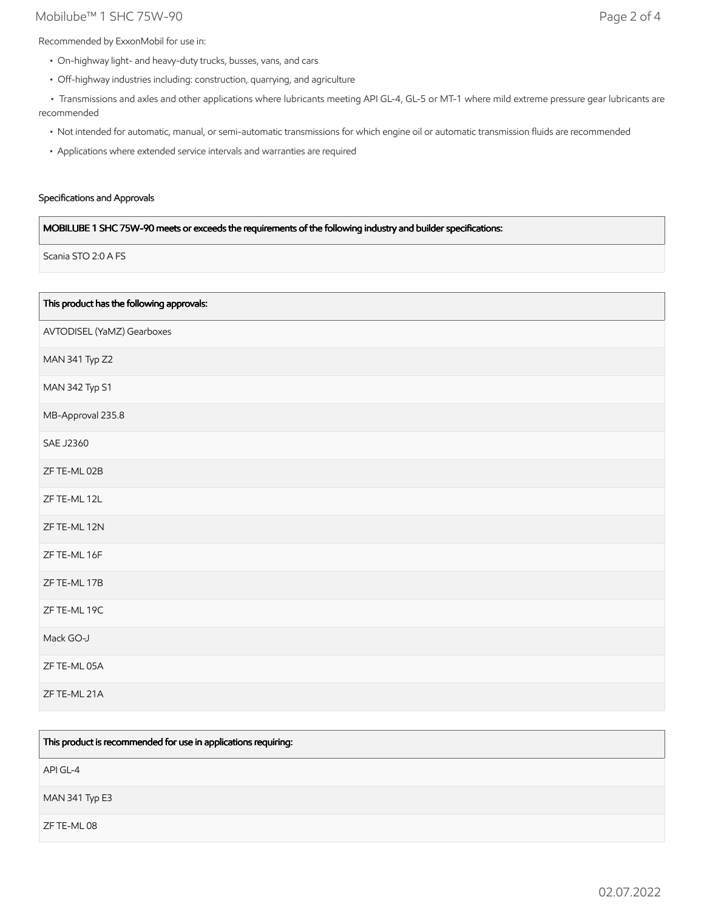## Mobilube™ 1 SHC 75W-90 Page 2 of 4

Recommended by ExxonMobil for use in:

- On-highway light- and heavy-duty trucks, busses, vans, and cars
- Off-highway industries including: construction, quarrying, and agriculture

 • Transmissions and axles and other applications where lubricants meeting API GL-4, GL-5 or MT-1 where mild extreme pressure gear lubricants are recommended

- Not intended for automatic, manual, or semi-automatic transmissions for which engine oil or automatic transmission fluids are recommended
- Applications where extended service intervals and warranties are required

#### Specifications and Approvals

#### MOBILUBE 1 SHC 75W-90 meets or exceeds the requirements of the following industry and builder specifications:

Scania STO 2:0 A FS

| This product has the following approvals: |
|-------------------------------------------|
| AVTODISEL (YaMZ) Gearboxes                |
| MAN 341 Typ Z2                            |
| MAN 342 Typ S1                            |
| MB-Approval 235.8                         |
| <b>SAE J2360</b>                          |
| ZF TE-ML 02B                              |
| ZF TE-ML 12L                              |
| ZF TE-ML 12N                              |
| ZF TE-ML 16F                              |
| ZF TE-ML 17B                              |
| ZF TE-ML 19C                              |
| Mack GO-J                                 |
| ZF TE-ML 05A                              |
| ZF TE-ML 21A                              |

| This product is recommended for use in applications requiring: |
|----------------------------------------------------------------|
| API GL-4                                                       |
| <b>MAN 341 Typ E3</b>                                          |
| ZF TE-ML 08                                                    |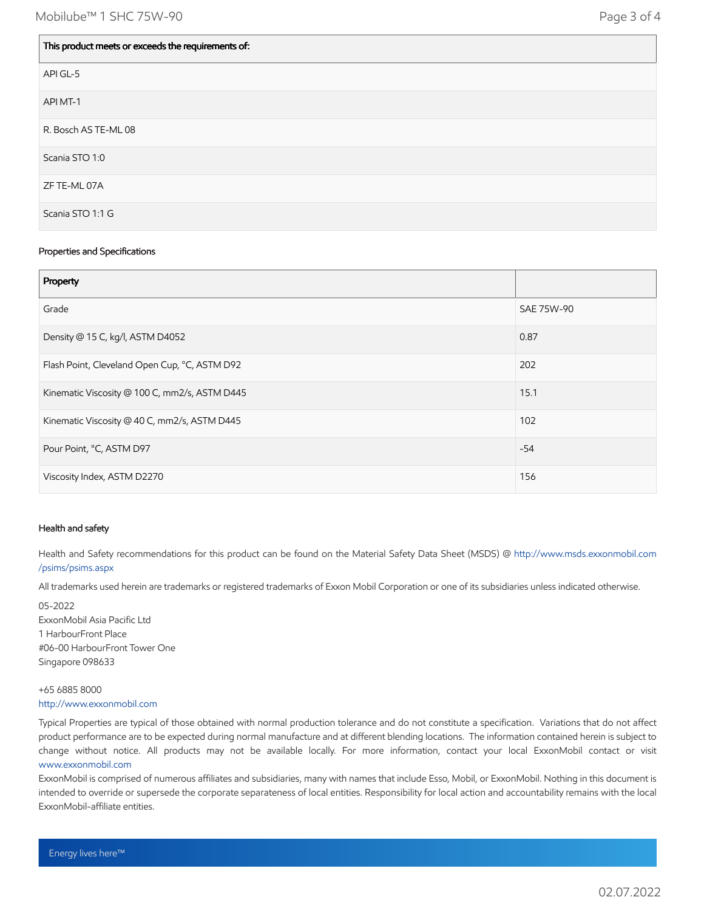| This product meets or exceeds the requirements of: |
|----------------------------------------------------|
| API GL-5                                           |
| API MT-1                                           |
| R. Bosch AS TE-ML 08                               |
| Scania STO 1:0                                     |
| ZF TE-ML 07A                                       |
| Scania STO 1:1 G                                   |

#### Properties and Specifications

| Property                                      |            |
|-----------------------------------------------|------------|
| Grade                                         | SAE 75W-90 |
| Density @ 15 C, kg/l, ASTM D4052              | 0.87       |
| Flash Point, Cleveland Open Cup, °C, ASTM D92 | 202        |
| Kinematic Viscosity @ 100 C, mm2/s, ASTM D445 | 15.1       |
| Kinematic Viscosity @ 40 C, mm2/s, ASTM D445  | 102        |
| Pour Point, °C, ASTM D97                      | $-54$      |
| Viscosity Index, ASTM D2270                   | 156        |

#### Health and safety

Health and Safety recommendations for this product can be found on the Material Safety Data Sheet (MSDS) @ [http://www.msds.exxonmobil.com](http://www.msds.exxonmobil.com/psims/psims.aspx) /psims/psims.aspx

All trademarks used herein are trademarks or registered trademarks of Exxon Mobil Corporation or one of its subsidiaries unless indicated otherwise.

05-2022 ExxonMobil Asia Pacific Ltd 1 HarbourFront Place #06-00 HarbourFront Tower One Singapore 098633

#### +65 6885 8000 [http://www.exxonmobil.com](http://www.exxonmobil.com/)

Typical Properties are typical of those obtained with normal production tolerance and do not constitute a specification. Variations that do not affect product performance are to be expected during normal manufacture and at different blending locations. The information contained herein is subject to change without notice. All products may not be available locally. For more information, contact your local ExxonMobil contact or visit [www.exxonmobil.com](http://www.exxonmobil.com/)

ExxonMobil is comprised of numerous affiliates and subsidiaries, many with names that include Esso, Mobil, or ExxonMobil. Nothing in this document is intended to override or supersede the corporate separateness of local entities. Responsibility for local action and accountability remains with the local ExxonMobil-affiliate entities.